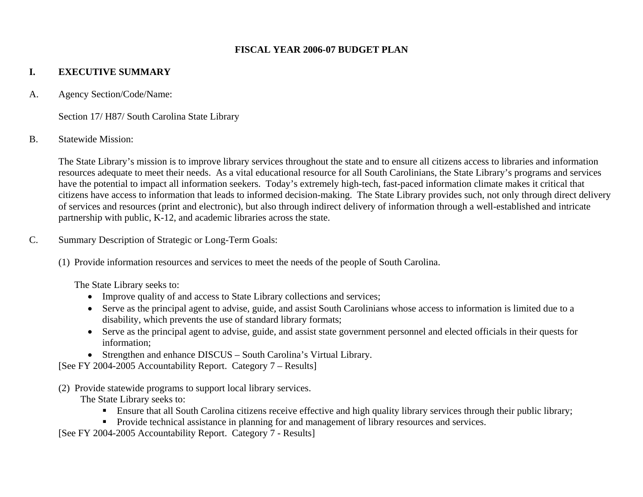#### **FISCAL YEAR 2006-07 BUDGET PLAN**

## **I. EXECUTIVE SUMMARY**

A. Agency Section/Code/Name:

Section 17/ H87/ South Carolina State Library

#### B. Statewide Mission:

The State Library's mission is to improve library services throughout the state and to ensure all citizens access to libraries and information resources adequate to meet their needs. As a vital educational resource for all South Carolinians, the State Library's programs and services have the potential to impact all information seekers. Today's extremely high-tech, fast-paced information climate makes it critical that citizens have access to information that leads to informed decision-making. The State Library provides such, not only through direct delivery of services and resources (print and electronic), but also through indirect delivery of information through a well-established and intricate partnership with public, K-12, and academic libraries across the state.

- C. Summary Description of Strategic or Long-Term Goals:
	- (1) Provide information resources and services to meet the needs of the people of South Carolina.

The State Library seeks to:

- Improve quality of and access to State Library collections and services;
- Serve as the principal agent to advise, guide, and assist South Carolinians whose access to information is limited due to a disability, which prevents the use of standard library formats;
- Serve as the principal agent to advise, guide, and assist state government personnel and elected officials in their quests for information;
- Strengthen and enhance DISCUS South Carolina's Virtual Library.

[See FY 2004-2005 Accountability Report. Category 7 – Results]

(2) Provide statewide programs to support local library services.

The State Library seeks to:

- Ensure that all South Carolina citizens receive effective and high quality library services through their public library;
- **Provide technical assistance in planning for and management of library resources and services.**

[See FY 2004-2005 Accountability Report. Category 7 - Results]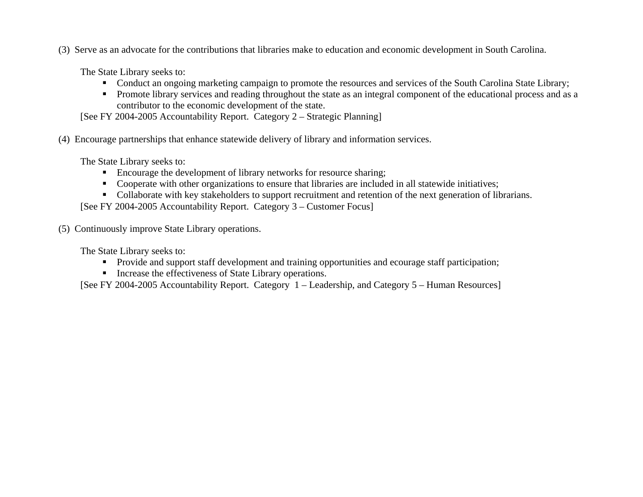(3) Serve as an advocate for the contributions that libraries make to education and economic development in South Carolina.

The State Library seeks to:

- Conduct an ongoing marketing campaign to promote the resources and services of the South Carolina State Library;
- **Promote library services and reading throughout the state as an integral component of the educational process and as a** contributor to the economic development of the state.

[See FY 2004-2005 Accountability Report. Category 2 – Strategic Planning]

(4) Encourage partnerships that enhance statewide delivery of library and information services.

The State Library seeks to:

- **Encourage the development of library networks for resource sharing;**
- Cooperate with other organizations to ensure that libraries are included in all statewide initiatives;
- Collaborate with key stakeholders to support recruitment and retention of the next generation of librarians.

[See FY 2004-2005 Accountability Report. Category 3 – Customer Focus]

(5) Continuously improve State Library operations.

The State Library seeks to:

- **Provide and support staff development and training opportunities and ecourage staff participation;**
- **Increase the effectiveness of State Library operations.**

[See FY 2004-2005 Accountability Report. Category 1 – Leadership, and Category 5 – Human Resources]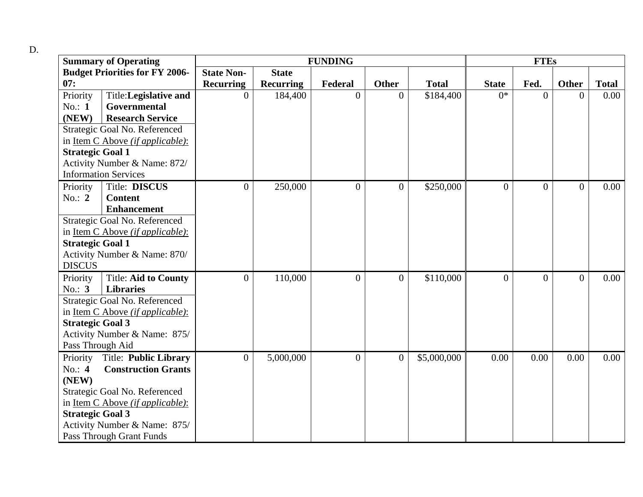| ٠<br>٥<br>۰.<br>۰,<br>٧<br>$\sim$ |  |
|-----------------------------------|--|
|-----------------------------------|--|

|                                       | <b>Summary of Operating</b>              | <b>FUNDING</b>    |                  |                |                |              |              | <b>FTEs</b>    |                |              |  |
|---------------------------------------|------------------------------------------|-------------------|------------------|----------------|----------------|--------------|--------------|----------------|----------------|--------------|--|
| <b>Budget Priorities for FY 2006-</b> |                                          | <b>State Non-</b> | <b>State</b>     |                |                |              |              |                |                |              |  |
| 07:                                   |                                          | <b>Recurring</b>  | <b>Recurring</b> | Federal        | <b>Other</b>   | <b>Total</b> | <b>State</b> | Fed.           | <b>Other</b>   | <b>Total</b> |  |
| Priority                              | Title:Legislative and                    | $\Omega$          | 184,400          | $\Omega$       | $\overline{0}$ | \$184,400    | $0*$         | $\theta$       | $\Omega$       | 0.00         |  |
| No.: 1                                | Governmental                             |                   |                  |                |                |              |              |                |                |              |  |
| (NEW)                                 | <b>Research Service</b>                  |                   |                  |                |                |              |              |                |                |              |  |
|                                       | Strategic Goal No. Referenced            |                   |                  |                |                |              |              |                |                |              |  |
|                                       | in <u>Item C Above (if applicable):</u>  |                   |                  |                |                |              |              |                |                |              |  |
| <b>Strategic Goal 1</b>               |                                          |                   |                  |                |                |              |              |                |                |              |  |
|                                       | Activity Number & Name: 872/             |                   |                  |                |                |              |              |                |                |              |  |
|                                       | <b>Information Services</b>              |                   |                  |                |                |              |              |                |                |              |  |
| Priority                              | Title: DISCUS                            | $\overline{0}$    | 250,000          | $\mathbf{0}$   | $\overline{0}$ | \$250,000    | $\theta$     | $\overline{0}$ | $\overline{0}$ | 0.00         |  |
| No.: $2$                              | <b>Content</b>                           |                   |                  |                |                |              |              |                |                |              |  |
|                                       | <b>Enhancement</b>                       |                   |                  |                |                |              |              |                |                |              |  |
| Strategic Goal No. Referenced         |                                          |                   |                  |                |                |              |              |                |                |              |  |
|                                       | in Item C Above (if applicable):         |                   |                  |                |                |              |              |                |                |              |  |
| <b>Strategic Goal 1</b>               |                                          |                   |                  |                |                |              |              |                |                |              |  |
| Activity Number & Name: 870/          |                                          |                   |                  |                |                |              |              |                |                |              |  |
| <b>DISCUS</b>                         |                                          |                   |                  |                |                |              |              |                |                |              |  |
| Priority                              | <b>Title: Aid to County</b>              | $\Omega$          | 110,000          | $\overline{0}$ | $\overline{0}$ | \$110,000    | $\Omega$     | $\overline{0}$ | $\theta$       | 0.00         |  |
| No.: $3$                              | <b>Libraries</b>                         |                   |                  |                |                |              |              |                |                |              |  |
| Strategic Goal No. Referenced         |                                          |                   |                  |                |                |              |              |                |                |              |  |
| in Item C Above (if applicable):      |                                          |                   |                  |                |                |              |              |                |                |              |  |
| <b>Strategic Goal 3</b>               |                                          |                   |                  |                |                |              |              |                |                |              |  |
| Activity Number & Name: 875/          |                                          |                   |                  |                |                |              |              |                |                |              |  |
| Pass Through Aid                      |                                          |                   |                  |                |                |              |              |                |                |              |  |
| Priority                              | <b>Title: Public Library</b>             | $\overline{0}$    | 5,000,000        | $\overline{0}$ | $\overline{0}$ | \$5,000,000  | 0.00         | 0.00           | 0.00           | 0.00         |  |
| No.: $4$                              | <b>Construction Grants</b>               |                   |                  |                |                |              |              |                |                |              |  |
| (NEW)                                 |                                          |                   |                  |                |                |              |              |                |                |              |  |
| Strategic Goal No. Referenced         |                                          |                   |                  |                |                |              |              |                |                |              |  |
|                                       | in Item C Above <i>(if applicable)</i> : |                   |                  |                |                |              |              |                |                |              |  |
| <b>Strategic Goal 3</b>               |                                          |                   |                  |                |                |              |              |                |                |              |  |
| Activity Number & Name: 875/          |                                          |                   |                  |                |                |              |              |                |                |              |  |
|                                       | Pass Through Grant Funds                 |                   |                  |                |                |              |              |                |                |              |  |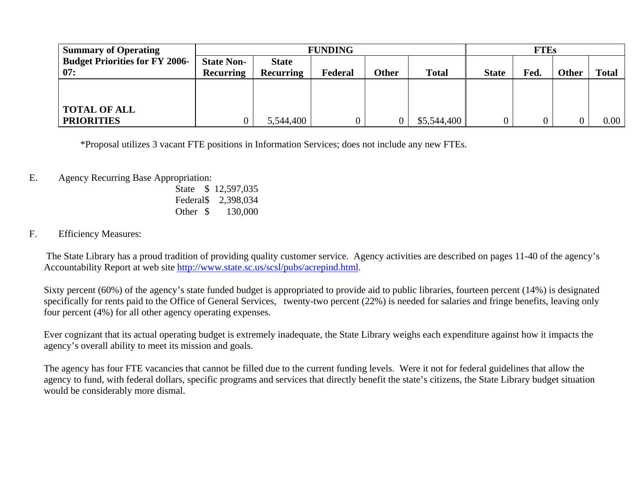| <b>Summary of Operating</b>           | <b>FUNDING</b>    |                  |         |       |              | <b>FTEs</b>  |                |              |              |
|---------------------------------------|-------------------|------------------|---------|-------|--------------|--------------|----------------|--------------|--------------|
| <b>Budget Priorities for FY 2006-</b> | <b>State Non-</b> | <b>State</b>     |         |       |              |              |                |              |              |
| 07:                                   | <b>Recurring</b>  | <b>Recurring</b> | Federal | Other | <b>Total</b> | <b>State</b> | Fed.           | <b>Other</b> | <b>Total</b> |
|                                       |                   |                  |         |       |              |              |                |              |              |
|                                       |                   |                  |         |       |              |              |                |              |              |
| <b>TOTAL OF ALL</b>                   |                   |                  |         |       |              |              |                |              |              |
| <b>PRIORITIES</b>                     |                   | 5,544,400        |         |       | \$5,544,400  |              | $\overline{0}$ |              | 0.00         |

\*Proposal utilizes 3 vacant FTE positions in Information Services; does not include any new FTEs.

- E. Agency Recurring Base Appropriation:
	- State \$ 12,597,035 Federal\$ 2,398,034 Other \$ 130,000

### F. Efficiency Measures:

 The State Library has a proud tradition of providing quality customer service. Agency activities are described on pages 11-40 of the agency's Accountability Report at web site http://www.state.sc.us/scsl/pubs/acrepind.html.

Sixty percent (60%) of the agency's state funded budget is appropriated to provide aid to public libraries, fourteen percent (14%) is designated specifically for rents paid to the Office of General Services, twenty-two percent (22%) is needed for salaries and fringe benefits, leaving only four percent (4%) for all other agency operating expenses.

Ever cognizant that its actual operating budget is extremely inadequate, the State Library weighs each expenditure against how it impacts the agency's overall ability to meet its mission and goals.

The agency has four FTE vacancies that cannot be filled due to the current funding levels. Were it not for federal guidelines that allow the agency to fund, with federal dollars, specific programs and services that directly benefit the state's citizens, the State Library budget situation would be considerably more dismal.